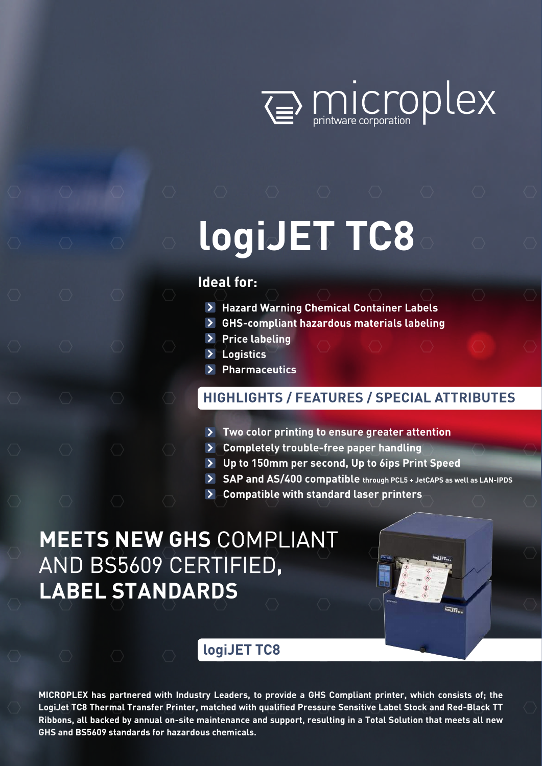

# **logiJET TC8**

## **Ideal for:**

- **Hazard Warning Chemical Container Labels**
- **GHS-compliant hazardous materials labeling**
- **Price labeling**
- **Logistics**
- **Pharmaceutics**

## **HIGHLIGHTS / FEATURES / SPECIAL ATTRIBUTES**

- **Two color printing to ensure greater attention**
- **Completely trouble-free paper handling**
- **Up to 150mm per second, Up to 6ips Print Speed**
- **SAP and AS/400 compatible through PCL5 + JetCAPS as well as LAN-IPDS**
- **Compatible with standard laser printers**

## **MEETS NEW GHS** COMPLIANT AND BS5609 CERTIFIED**, LABEL STANDARDS**

## **logiJET TC8**

**MICROPLEX has partnered with Industry Leaders, to provide a GHS Compliant printer, which consists of; the LogiJet TC8 Thermal Transfer Printer, matched with qualified Pressure Sensitive Label Stock and Red-Black TT Ribbons, all backed by annual on-site maintenance and support, resulting in a Total Solution that meets all new GHS and BS5609 standards for hazardous chemicals.**